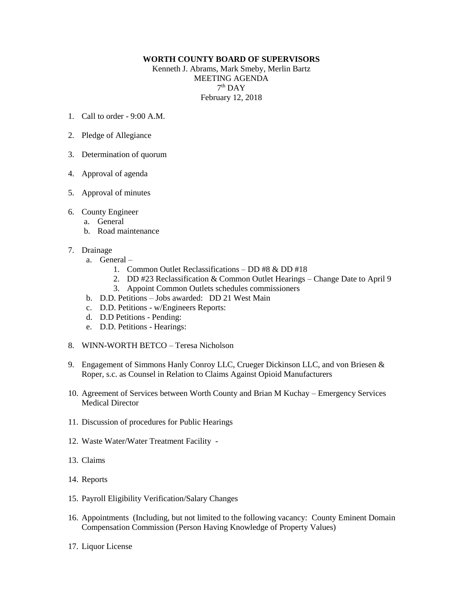## **WORTH COUNTY BOARD OF SUPERVISORS**

Kenneth J. Abrams, Mark Smeby, Merlin Bartz MEETING AGENDA  $7<sup>th</sup>$  DAY February 12, 2018

- 1. Call to order  $9.00 \text{ A M}$
- 2. Pledge of Allegiance
- 3. Determination of quorum
- 4. Approval of agenda
- 5. Approval of minutes
- 6. County Engineer
	- a. General
	- b. Road maintenance
- 7. Drainage
	- a. General
		- 1. Common Outlet Reclassifications DD #8 & DD #18
		- 2. DD #23 Reclassification & Common Outlet Hearings Change Date to April 9
		- 3. Appoint Common Outlets schedules commissioners
	- b. D.D. Petitions Jobs awarded: DD 21 West Main
	- c. D.D. Petitions w/Engineers Reports:
	- d. D.D Petitions Pending:
	- e. D.D. Petitions Hearings:
- 8. WINN-WORTH BETCO Teresa Nicholson
- 9. Engagement of Simmons Hanly Conroy LLC, Crueger Dickinson LLC, and von Briesen & Roper, s.c. as Counsel in Relation to Claims Against Opioid Manufacturers
- 10. Agreement of Services between Worth County and Brian M Kuchay Emergency Services Medical Director
- 11. Discussion of procedures for Public Hearings
- 12. Waste Water/Water Treatment Facility -
- 13. Claims
- 14. Reports
- 15. Payroll Eligibility Verification/Salary Changes
- 16. Appointments (Including, but not limited to the following vacancy: County Eminent Domain Compensation Commission (Person Having Knowledge of Property Values)
- 17. Liquor License